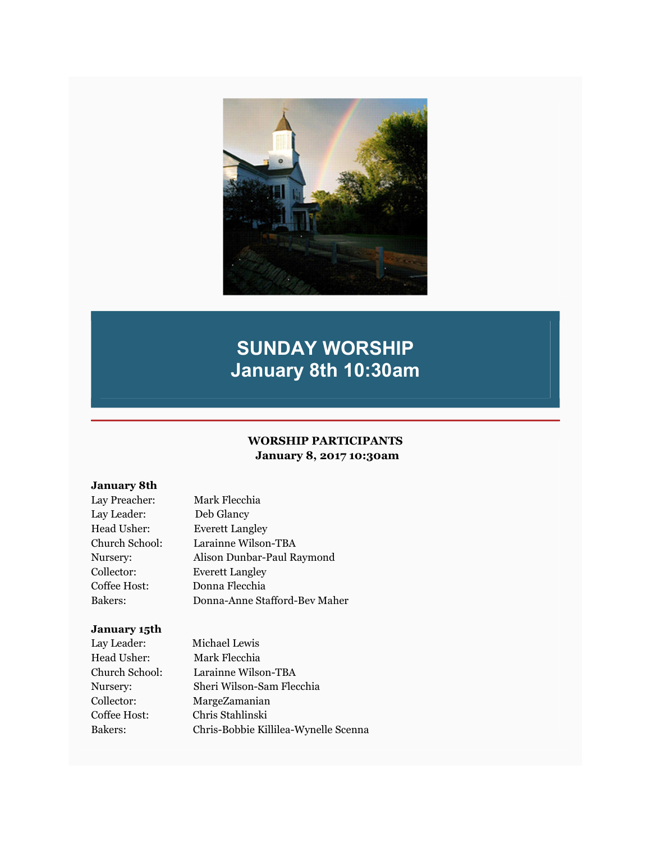

# SUNDAY WORSHIP January 8th 10:30am

### WORSHIP PARTICIPANTS January 8, 2017 10:30am

### January 8th

| Lay Preacher:  | Mark Flecchia                 |
|----------------|-------------------------------|
| Lay Leader:    | Deb Glancy                    |
| Head Usher:    | <b>Everett Langley</b>        |
| Church School: | Larainne Wilson-TBA           |
| Nursery:       | Alison Dunbar-Paul Raymond    |
| Collector:     | <b>Everett Langley</b>        |
| Coffee Host:   | Donna Flecchia                |
| Bakers:        | Donna-Anne Stafford-Bev Maher |

### January 15th

| Lay Leader:    | Michael Lewis                        |
|----------------|--------------------------------------|
| Head Usher:    | Mark Flecchia                        |
| Church School: | Larainne Wilson-TBA                  |
| Nursery:       | Sheri Wilson-Sam Flecchia            |
| Collector:     | MargeZamanian                        |
| Coffee Host:   | Chris Stahlinski                     |
| Bakers:        | Chris-Bobbie Killilea-Wynelle Scenna |
|                |                                      |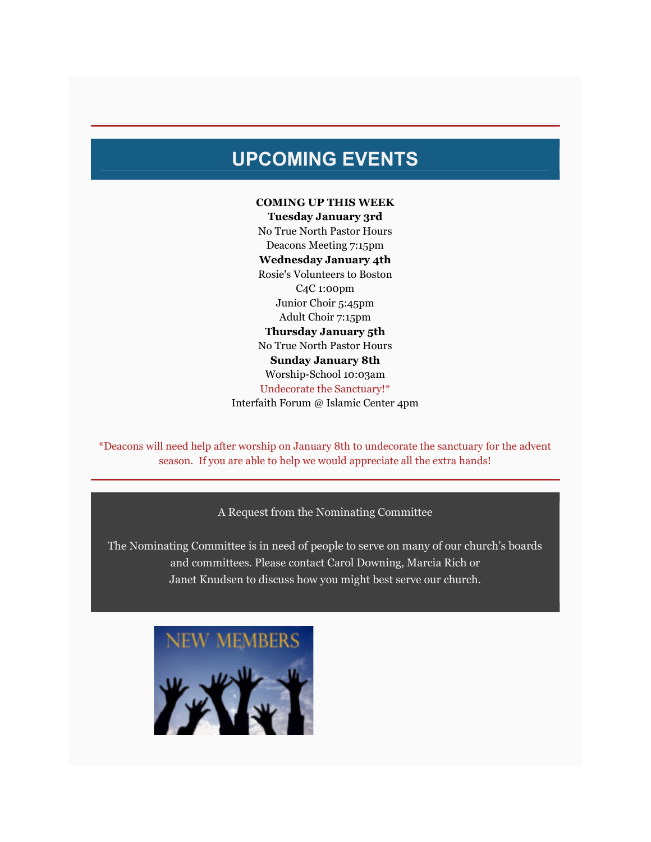## UPCOMING EVENTS

### COMING UP THIS WEEK

Tuesday January 3rd No True North Pastor Hours Deacons Meeting 7:15pm Wednesday January 4th Rosie's Volunteers to Boston C4C 1:00pm Junior Choir 5:45pm Adult Choir 7:15pm Thursday January 5th No True North Pastor Hours Sunday January 8th Worship-School 10:03am Undecorate the Sanctuary!\* Interfaith Forum @ Islamic Center 4pm

\*Deacons will need help after worship on January 8th to undecorate the sanctuary for the advent season. If you are able to help we would appreciate all the extra hands!

### A Request from the Nominating Committee

The Nominating Committee is in need of people to serve on many of our church's boards and committees. Please contact Carol Downing, Marcia Rich or Janet Knudsen to discuss how you might best serve our church.

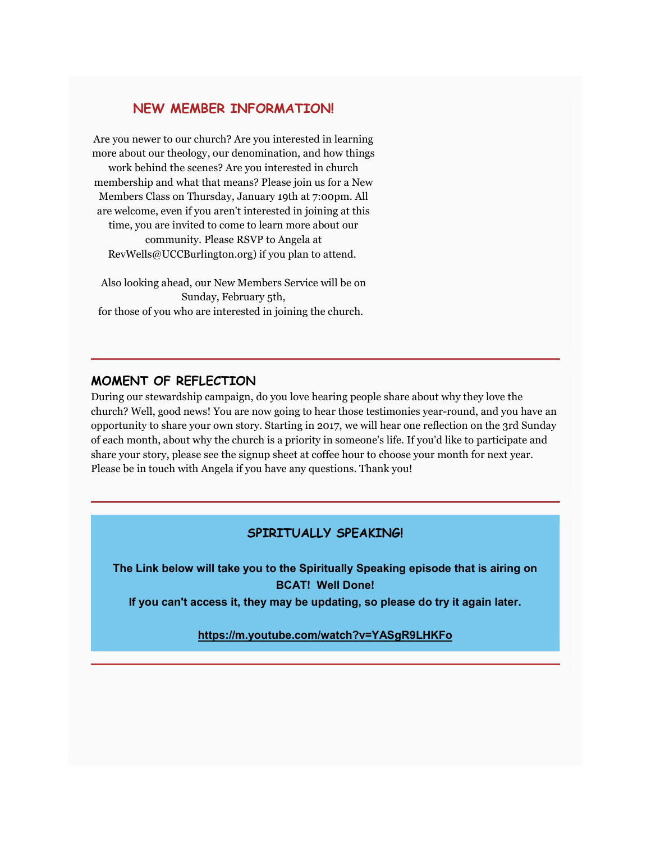### NEW MEMBER INFORMATION!

Are you newer to our church? Are you interested in learning more about our theology, our denomination, and how things work behind the scenes? Are you interested in church membership and what that means? Please join us for a New Members Class on Thursday, January 19th at 7:00pm. All are welcome, even if you aren't interested in joining at this time, you are invited to come to learn more about our community. Please RSVP to Angela at RevWells@UCCBurlington.org) if you plan to attend.

Also looking ahead, our New Members Service will be on Sunday, February 5th, for those of you who are interested in joining the church.

### MOMENT OF REFLECTION

During our stewardship campaign, do you love hearing people share about why they love the church? Well, good news! You are now going to hear those testimonies year-round, and you have an opportunity to share your own story. Starting in 2017, we will hear one reflection on the 3rd Sunday of each month, about why the church is a priority in someone's life. If you'd like to participate and share your story, please see the signup sheet at coffee hour to choose your month for next year. Please be in touch with Angela if you have any questions. Thank you!

### SPIRITUALLY SPEAKING!

The Link below will take you to the Spiritually Speaking episode that is airing on BCAT! Well Done!

If you can't access it, they may be updating, so please do try it again later.

### https://m.youtube.com/watch?v=YASgR9LHKFo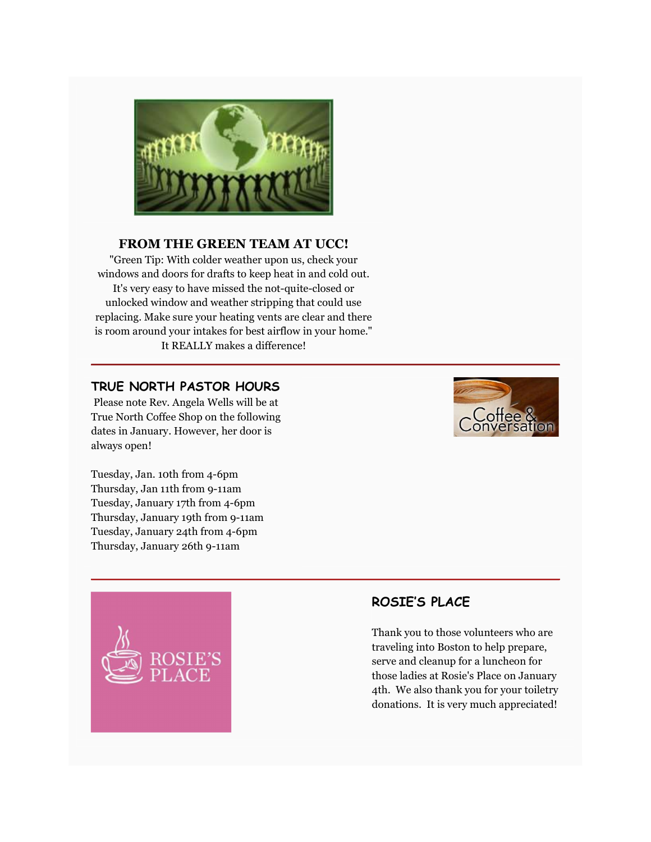

### FROM THE GREEN TEAM AT UCC!

"Green Tip: With colder weather upon us, check your windows and doors for drafts to keep heat in and cold out. It's very easy to have missed the not-quite-closed or unlocked window and weather stripping that could use replacing. Make sure your heating vents are clear and there is room around your intakes for best airflow in your home." It REALLY makes a difference!

### TRUE NORTH PASTOR HOURS

 Please note Rev. Angela Wells will be at True North Coffee Shop on the following dates in January. However, her door is always open!



Tuesday, Jan. 10th from 4-6pm Thursday, Jan 11th from 9-11am Tuesday, January 17th from 4-6pm Thursday, January 19th from 9-11am Tuesday, January 24th from 4-6pm Thursday, January 26th 9-11am



### ROSIE'S PLACE

Thank you to those volunteers who are traveling into Boston to help prepare, serve and cleanup for a luncheon for those ladies at Rosie's Place on January 4th. We also thank you for your toiletry donations. It is very much appreciated!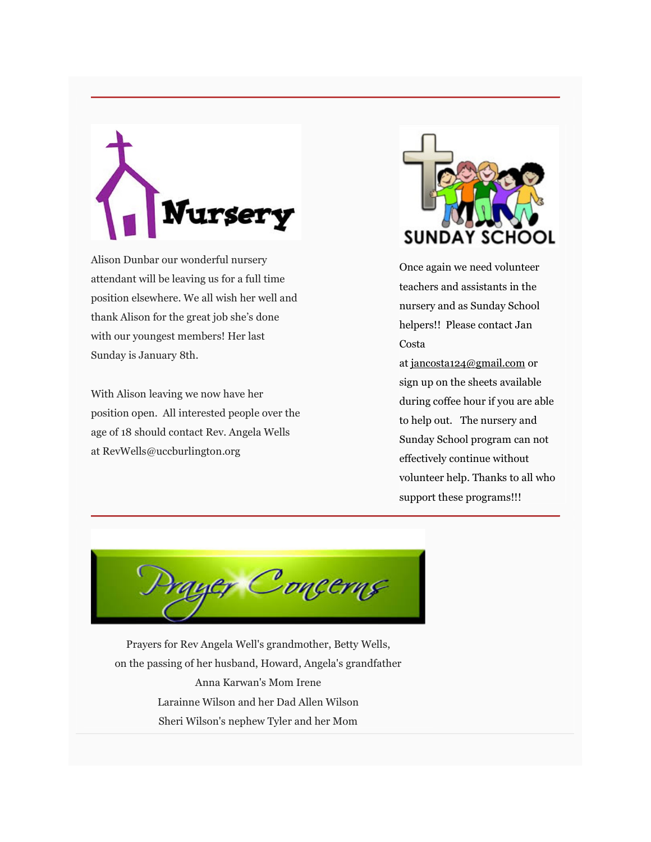# **ursery**

Alison Dunbar our wonderful nursery attendant will be leaving us for a full time position elsewhere. We all wish her well and thank Alison for the great job she's done with our youngest members! Her last Sunday is January 8th.

With Alison leaving we now have her position open. All interested people over the age of 18 should contact Rev. Angela Wells at RevWells@uccburlington.org



Once again we need volunteer teachers and assistants in the nursery and as Sunday School helpers!! Please contact Jan Costa

at jancosta124@gmail.com or sign up on the sheets available during coffee hour if you are able to help out. The nursery and Sunday School program can not effectively continue without volunteer help. Thanks to all who support these programs!!!

yer Concerns

Prayers for Rev Angela Well's grandmother, Betty Wells, on the passing of her husband, Howard, Angela's grandfather Anna Karwan's Mom Irene Larainne Wilson and her Dad Allen Wilson Sheri Wilson's nephew Tyler and her Mom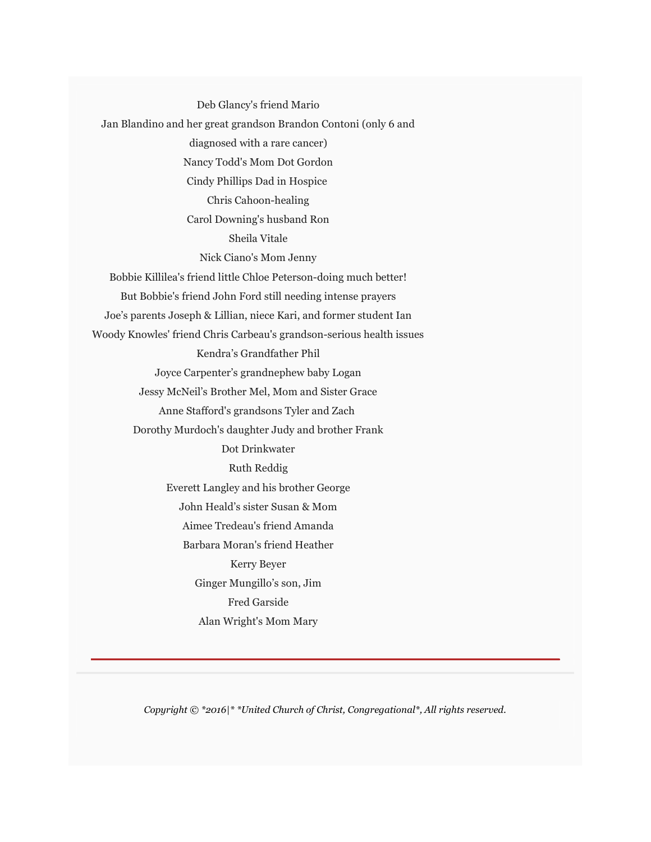Deb Glancy's friend Mario Jan Blandino and her great grandson Brandon Contoni (only 6 and diagnosed with a rare cancer) Nancy Todd's Mom Dot Gordon Cindy Phillips Dad in Hospice Chris Cahoon-healing Carol Downing's husband Ron Sheila Vitale Nick Ciano's Mom Jenny Bobbie Killilea's friend little Chloe Peterson-doing much better! But Bobbie's friend John Ford still needing intense prayers Joe's parents Joseph & Lillian, niece Kari, and former student Ian Woody Knowles' friend Chris Carbeau's grandson-serious health issues Kendra's Grandfather Phil Joyce Carpenter's grandnephew baby Logan Jessy McNeil's Brother Mel, Mom and Sister Grace Anne Stafford's grandsons Tyler and Zach Dorothy Murdoch's daughter Judy and brother Frank Dot Drinkwater Ruth Reddig Everett Langley and his brother George John Heald's sister Susan & Mom Aimee Tredeau's friend Amanda Barbara Moran's friend Heather Kerry Beyer Ginger Mungillo's son, Jim Fred Garside Alan Wright's Mom Mary

Copyright © \*2016|\* \*United Church of Christ, Congregational\*, All rights reserved.